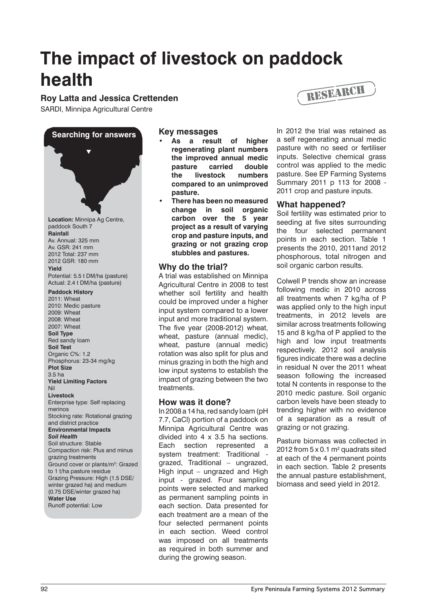# **The impact of livestock on paddock health**

**Roy Latta and Jessica Crettenden**

SARDI, Minnipa Agricultural Centre



# **Key messages**

- As a result of higher **regenerating plant numbers the improved annual medic pasture carried double the livestock numbers compared to an unimproved pasture.**
- **• There has been no measured change in soil organic carbon over the 5 year project as a result of varying crop and pasture inputs, and grazing or not grazing crop stubbles and pastures.**

# **Why do the trial?**

A trial was established on Minnipa Agricultural Centre in 2008 to test whether soil fertility and health could be improved under a higher input system compared to a lower input and more traditional system. The five year (2008-2012) wheat, wheat, pasture (annual medic), wheat, pasture (annual medic) rotation was also split for plus and minus grazing in both the high and low input systems to establish the impact of grazing between the two treatments.

# **How was it done?**

In 2008 a 14 ha, red sandy loam (pH 7.7, CaCl) portion of a paddock on Minnipa Agricultural Centre was divided into 4 x 3.5 ha sections. Each section represented a system treatment: Traditional grazed, Traditional – ungrazed, High input – ungrazed and High input - grazed. Four sampling points were selected and marked as permanent sampling points in each section. Data presented for each treatment are a mean of the four selected permanent points in each section. Weed control was imposed on all treatments as required in both summer and during the growing season.



In 2012 the trial was retained as a self regenerating annual medic pasture with no seed or fertiliser inputs. Selective chemical grass control was applied to the medic pasture. See EP Farming Systems Summary 2011 p 113 for 2008 - 2011 crop and pasture inputs.

# **What happened?**

Soil fertility was estimated prior to seeding at five sites surrounding the four selected permanent points in each section. Table 1 presents the 2010, 2011and 2012 phosphorous, total nitrogen and soil organic carbon results.

Colwell P trends show an increase following medic in 2010 across all treatments when 7 kg/ha of P was applied only to the high input treatments, in 2012 levels are similar across treatments following 15 and 8 kg/ha of P applied to the high and low input treatments respectively. 2012 soil analysis figures indicate there was a decline in residual N over the 2011 wheat season following the increased total N contents in response to the 2010 medic pasture. Soil organic carbon levels have been steady to trending higher with no evidence of a separation as a result of grazing or not grazing.

Pasture biomass was collected in 2012 from  $5 \times 0.1$  m<sup>2</sup> quadrats sited at each of the 4 permanent points in each section. Table 2 presents the annual pasture establishment, biomass and seed yield in 2012.